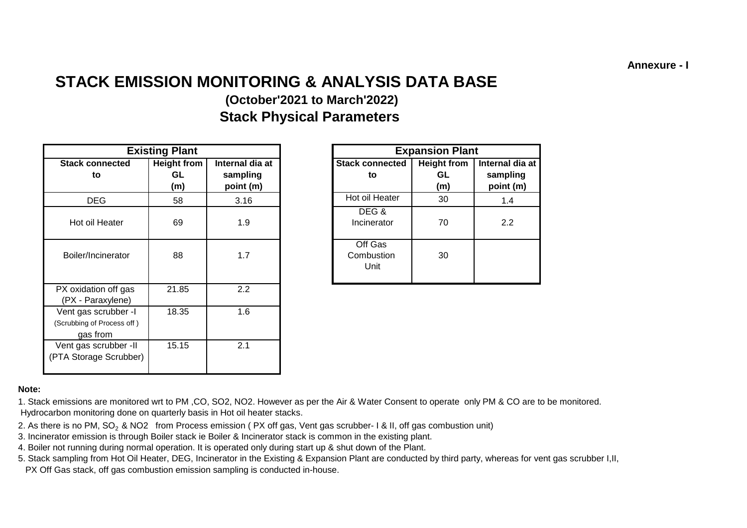**Annexure - I**

# **STACK EMISSION MONITORING & ANALYSIS DATA BASE (October'2021 to March'2022)**

**Stack Physical Parameters**

|                                                                | <b>Existing Plant</b>           |                                          |                               | <b>Expansion Plant</b> |                                 |                                          |
|----------------------------------------------------------------|---------------------------------|------------------------------------------|-------------------------------|------------------------|---------------------------------|------------------------------------------|
| <b>Stack connected</b><br>to                                   | <b>Height from</b><br>GL<br>(m) | Internal dia at<br>sampling<br>point (m) | <b>Stack connected</b><br>to  |                        | <b>Height from</b><br>GL<br>(m) | Internal dia at<br>sampling<br>point (m) |
| <b>DEG</b>                                                     | 58                              | 3.16                                     | Hot oil Heater                |                        | 30                              | 1.4                                      |
| Hot oil Heater                                                 | 69                              | 1.9                                      | DEG&<br>Incinerator           |                        | 70                              | 2.2                                      |
| Boiler/Incinerator                                             | 88                              | 1.7                                      | Off Gas<br>Combustion<br>Unit |                        | 30                              |                                          |
| PX oxidation off gas<br>(PX - Paraxylene)                      | 21.85                           | 2.2                                      |                               |                        |                                 |                                          |
| Vent gas scrubber -I<br>(Scrubbing of Process off)<br>gas from | 18.35                           | 1.6                                      |                               |                        |                                 |                                          |
| Vent gas scrubber -II<br>(PTA Storage Scrubber)                | 15.15                           | 2.1                                      |                               |                        |                                 |                                          |

|                | <b>Existing Plant</b>            |                                          |                               | <b>Expansion Plant</b>          |                                          |
|----------------|----------------------------------|------------------------------------------|-------------------------------|---------------------------------|------------------------------------------|
| onnected<br>to | <b>Height from</b><br>GL.<br>(m) | Internal dia at<br>sampling<br>point (m) | <b>Stack connected</b><br>to  | <b>Height from</b><br>GL<br>(m) | Internal dia at<br>sampling<br>point (m) |
| EG             | 58                               | 3.16                                     | Hot oil Heater                | 30                              | 1.4                                      |
| I Heater       | 69                               | 1.9                                      | DEG&<br>Incinerator           | 70                              | 2.2                                      |
| ncinerator     | 88                               | 1.7                                      | Off Gas<br>Combustion<br>Unit | 30                              |                                          |

#### **Note:**

1. Stack emissions are monitored wrt to PM ,CO, SO2, NO2. However as per the Air & Water Consent to operate only PM & CO are to be monitored. Hydrocarbon monitoring done on quarterly basis in Hot oil heater stacks.

- 2. As there is no PM, SO<sub>2</sub> & NO2 from Process emission (PX off gas, Vent gas scrubber- I & II, off gas combustion unit)
- 3. Incinerator emission is through Boiler stack ie Boiler & Incinerator stack is common in the existing plant.
- 4. Boiler not running during normal operation. It is operated only during start up & shut down of the Plant.
- 5. Stack sampling from Hot Oil Heater, DEG, Incinerator in the Existing & Expansion Plant are conducted by third party, whereas for vent gas scrubber I,II,
- PX Off Gas stack, off gas combustion emission sampling is conducted in-house.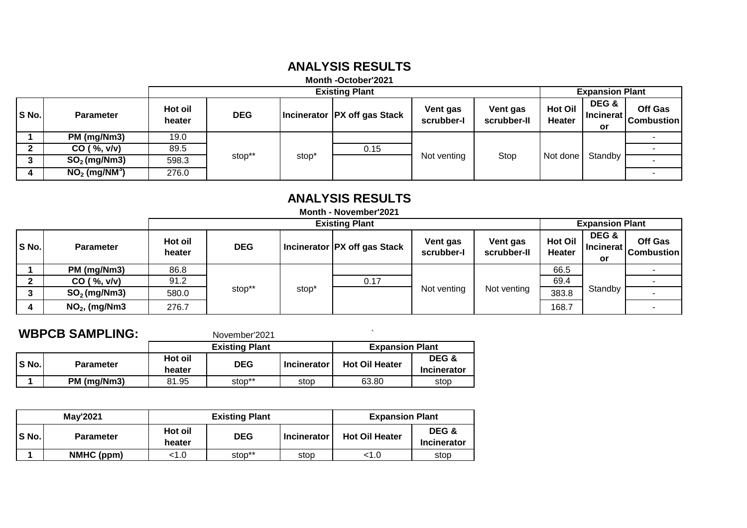## **ANALYSIS RESULTS**

#### **Month -October'2021**

|       | <b>Existing Plant</b>       |                   |            |       |                                |                        |                         | <b>Expansion Plant</b>          |                          |                              |
|-------|-----------------------------|-------------------|------------|-------|--------------------------------|------------------------|-------------------------|---------------------------------|--------------------------|------------------------------|
| S No. | <b>Parameter</b>            | Hot oil<br>heater | <b>DEG</b> |       | Incinerator   PX off gas Stack | Vent gas<br>scrubber-I | Vent gas<br>scrubber-II | <b>Hot Oil</b><br><b>Heater</b> | DEG &<br>Incinerat<br>or | Off Gas<br><b>Combustion</b> |
|       | PM (mg/Nm3)                 | 19.0              |            | stop' | 0.15                           | Not venting            | Stop                    | Not done                        | Standby                  |                              |
|       | CO ( %, v/v)                | 89.5              |            |       |                                |                        |                         |                                 |                          |                              |
|       | $SO2$ (mg/Nm3)              | 598.3             | stop**     |       |                                |                        |                         |                                 |                          |                              |
|       | $NO2$ (mg/NM <sup>3</sup> ) | 276.0             |            |       |                                |                        |                         |                                 |                          |                              |

# **ANALYSIS RESULTS**

| <b>Month - November'2021</b> |  |
|------------------------------|--|
| Evistina Blant               |  |

| <b>Existing Plant</b> |                  |                   |            |       |                              | <b>Expansion Plant</b> |                         |                          |                              |                              |  |
|-----------------------|------------------|-------------------|------------|-------|------------------------------|------------------------|-------------------------|--------------------------|------------------------------|------------------------------|--|
| S No.                 | <b>Parameter</b> | Hot oil<br>heater | <b>DEG</b> |       | Incinerator PX off gas Stack | Vent gas<br>scrubber-I | Vent gas<br>scrubber-II | <b>Hot Oil</b><br>Heater | DEG &<br>l Incinerat l<br>or | Off Gas<br><b>Combustion</b> |  |
|                       | PM (mg/Nm3)      | 86.8              |            |       |                              |                        |                         | 66.5                     |                              |                              |  |
|                       | CO ( %, v/v)     | 91.2              |            |       |                              |                        | 0.17                    |                          |                              | 69.4                         |  |
|                       | $SO2$ (mg/Nm3)   | 580.0             | stop**     | stop' |                              | Not venting            | Not venting             | 383.8                    | Standby                      |                              |  |
|                       | $NO2$ , (mg/Nm3  | 276.7             |            |       |                              |                        |                         | 168.7                    |                              |                              |  |

| <b>WBPCB SAMPLING:</b> |                  |                   | November'2021         |                    |                        |                      |
|------------------------|------------------|-------------------|-----------------------|--------------------|------------------------|----------------------|
|                        |                  |                   | <b>Existing Plant</b> |                    | <b>Expansion Plant</b> |                      |
| S No.                  | <b>Parameter</b> | Hot oil<br>heater | <b>DEG</b>            | <b>Incinerator</b> | <b>Hot Oil Heater</b>  | DEG &<br>Incinerator |
|                        | PM (mg/Nm3)      | 81.95             | stop**                | stop               | 63.80                  | stop                 |

|       | <b>Mav'2021</b>  |                                 | <b>Existing Plant</b> | <b>Expansion Plant</b> |                       |                             |
|-------|------------------|---------------------------------|-----------------------|------------------------|-----------------------|-----------------------------|
| S No. | <b>Parameter</b> | Hot oil<br><b>DEG</b><br>heater |                       | <b>Incinerator</b>     | <b>Hot Oil Heater</b> | DEG &<br><b>Incinerator</b> |
|       | NMHC (ppm)       | <1.0                            | stop**                | stop                   | <1.0                  | stop                        |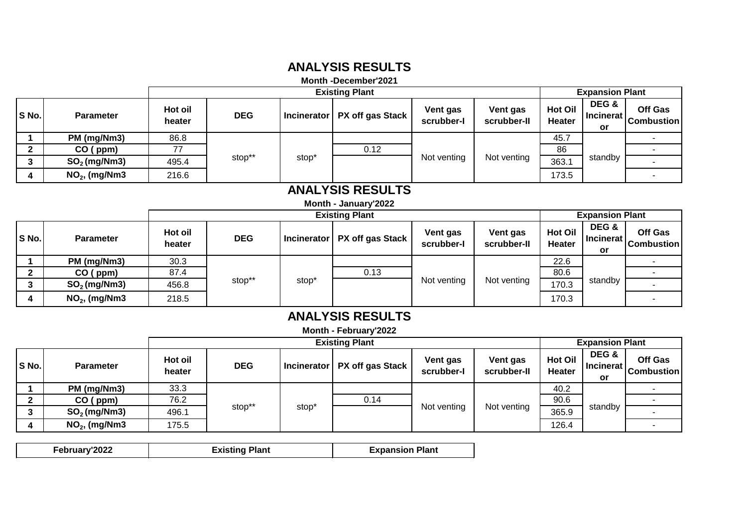# **ANALYSIS RESULTS**

#### **Month -December'2021**

|       |                  | <b>Existing Plant</b> |            |                   |                                |                        |                         |                                 | <b>Expansion Plant</b>              |                              |  |
|-------|------------------|-----------------------|------------|-------------------|--------------------------------|------------------------|-------------------------|---------------------------------|-------------------------------------|------------------------------|--|
| S No. | <b>Parameter</b> | Hot oil<br>heater     | <b>DEG</b> |                   | Incinerator   PX off gas Stack | Vent gas<br>scrubber-I | Vent gas<br>scrubber-II | <b>Hot Oil</b><br><b>Heater</b> | DEG &<br>l Incinerat l<br><b>or</b> | Off Gas<br><b>Combustion</b> |  |
|       | PM (mg/Nm3)      | 86.8                  |            | stop <sup>*</sup> |                                | Not venting            | Not venting             | 45.7                            | standby                             |                              |  |
|       | CO (ppm)         |                       |            |                   | 0.12                           |                        |                         | 86                              |                                     |                              |  |
|       | $SO2$ (mg/Nm3)   | 495.4                 | stop**     |                   |                                |                        |                         | 363.1                           |                                     |                              |  |
| 4     | $NO2$ , (mg/Nm3  | 216.6                 |            |                   |                                |                        |                         | 173.5                           |                                     |                              |  |

# **ANALYSIS RESULTS**

#### **Month - January'2022**

|       |                  | <b>Existing Plant</b> |            |      |                                  |                        |                         |                                 | <b>Expansion Plant</b>          |                              |  |
|-------|------------------|-----------------------|------------|------|----------------------------------|------------------------|-------------------------|---------------------------------|---------------------------------|------------------------------|--|
| S No. | <b>Parameter</b> | Hot oil<br>heater     | <b>DEG</b> |      | Incinerator   PX off gas Stack ' | Vent gas<br>scrubber-l | Vent gas<br>scrubber-II | <b>Hot Oil</b><br><b>Heater</b> | DEG &<br><b>Incinerat</b><br>or | Off Gas<br><b>Combustion</b> |  |
|       | PM (mg/Nm3)      | 30.3                  |            | stop |                                  |                        | Not venting             | 22.6                            | standby                         |                              |  |
|       | CO (ppm)         | 87.4                  |            |      | 0.13                             |                        |                         | 80.6                            |                                 |                              |  |
|       | $SO2$ (mg/Nm3)   | 456.8                 | stop**     |      |                                  | Not venting            |                         | 170.3                           |                                 |                              |  |
|       | $NO2$ , (mg/Nm3  | 218.5                 |            |      |                                  |                        |                         | 170.3                           |                                 |                              |  |

# **ANALYSIS RESULTS**

**Month - February'2022**

|       |                  |                   | <b>Existing Plant</b> |                   |                                |                        |                         | <b>Expansion Plant</b>          |                              |                              |
|-------|------------------|-------------------|-----------------------|-------------------|--------------------------------|------------------------|-------------------------|---------------------------------|------------------------------|------------------------------|
| S No. | <b>Parameter</b> | Hot oil<br>heater | <b>DEG</b>            |                   | Incinerator   PX off gas Stack | Vent gas<br>scrubber-I | Vent gas<br>scrubber-II | <b>Hot Oil</b><br><b>Heater</b> | DEG &<br>l Incinerat l<br>or | Off Gas<br><b>Combustion</b> |
|       | PM (mg/Nm3)      | 33.3              |                       | stop <sup>®</sup> |                                |                        |                         | 40.2                            | standby                      |                              |
|       | $CO$ (ppm)       | 76.2              |                       |                   | 0.14                           |                        | Not venting             | 90.6                            |                              |                              |
| ≏     | $SO2$ (mg/Nm3)   | 496.1             | stop**                |                   |                                | Not venting            |                         | 365.9                           |                              |                              |
|       | $NO2$ , (mg/Nm3  | 175.5             |                       |                   |                                |                        |                         | 126.4                           |                              |                              |

| February'2022 | <b>Existing Plant</b> | <b>Expansion Plant</b> |
|---------------|-----------------------|------------------------|
|               |                       |                        |